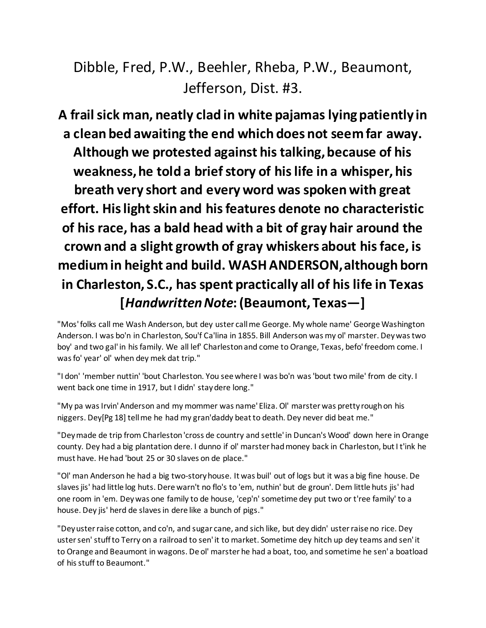Dibble, Fred, P.W., Beehler, Rheba, P.W., Beaumont, Jefferson, Dist. #3.

**A frail sick man, neatly clad in white pajamas lying patiently in a clean bed awaiting the end which does not seem far away. Although we protested against his talking, because of his weakness, he told a brief story of his life in a whisper, his breath very short and every word was spoken with great effort. His light skin and his features denote no characteristic of his race, has a bald head with a bit of gray hair around the crown and a slight growth of gray whiskers about his face, is medium in height and build. WASH ANDERSON, although born in Charleston, S.C., has spent practically all of his life in Texas [***Handwritten Note***: (Beaumont, Texas—]**

"Mos' folks call me Wash Anderson, but dey uster call me George. My whole name' George Washington Anderson. I was bo'n in Charleston, Sou'f Ca'lina in 1855. Bill Anderson was my ol' marster. Dey was two boy' and two gal' in his family. We all lef' Charleston and come to Orange, Texas, befo' freedom come. I was fo' year' ol' when dey mek dat trip."

"I don' 'member nuttin' 'bout Charleston. You see where I was bo'n was 'bout two mile' from de city. I went back one time in 1917, but I didn' stay dere long."

"My pa was Irvin' Anderson and my mommer was name' Eliza. Ol' marster was pretty rough on his niggers. Dey[Pg 18] tell me he had my gran'daddy beat to death. Dey never did beat me."

"Dey made de trip from Charleston 'cross de country and settle' in Duncan's Wood' down here in Orange county. Dey had a big plantation dere. I dunno if ol' marster had money back in Charleston, but I t'ink he must have. He had 'bout 25 or 30 slaves on de place."

"Ol' man Anderson he had a big two-story house. It was buil' out of logs but it was a big fine house. De slaves jis' had little log huts. Dere warn't no flo's to 'em, nuthin' but de groun'. Dem little huts jis' had one room in 'em. Dey was one family to de house, 'cep'n' sometime dey put two or t'ree family' to a house. Dey jis' herd de slaves in dere like a bunch of pigs."

"Dey uster raise cotton, and co'n, and sugar cane, and sich like, but dey didn' uster raise no rice. Dey uster sen' stuff to Terry on a railroad to sen' it to market. Sometime dey hitch up dey teams and sen' it to Orange and Beaumont in wagons. De ol' marster he had a boat, too, and sometime he sen' a boatload of his stuff to Beaumont."